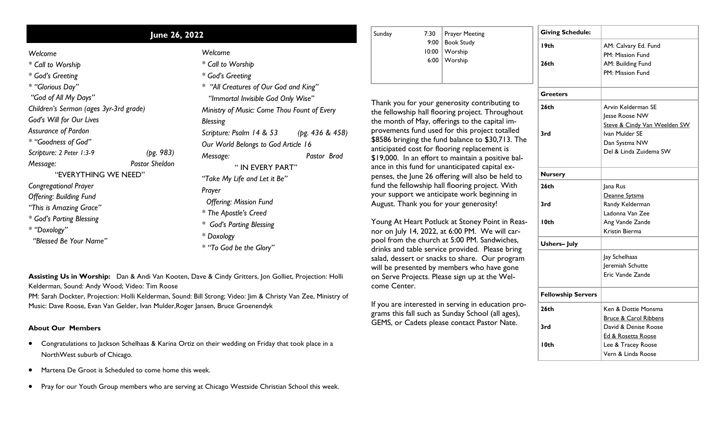| June 26, 2022                                                                                                                                                                                                                                                                                  |  |                                                                                                                                                                                                                                                                                                                                                                                                                                                                                     | Sunday<br>7:30                                                                                                                                                                                                                                                                                                                                                                                                                                                                                                                                                                                                                                                                                                                                                                               | <b>Prayer Meeting</b>                                                                                                                             | <b>Giving Schedule:</b>                                                                                 |                                                                                                             |
|------------------------------------------------------------------------------------------------------------------------------------------------------------------------------------------------------------------------------------------------------------------------------------------------|--|-------------------------------------------------------------------------------------------------------------------------------------------------------------------------------------------------------------------------------------------------------------------------------------------------------------------------------------------------------------------------------------------------------------------------------------------------------------------------------------|----------------------------------------------------------------------------------------------------------------------------------------------------------------------------------------------------------------------------------------------------------------------------------------------------------------------------------------------------------------------------------------------------------------------------------------------------------------------------------------------------------------------------------------------------------------------------------------------------------------------------------------------------------------------------------------------------------------------------------------------------------------------------------------------|---------------------------------------------------------------------------------------------------------------------------------------------------|---------------------------------------------------------------------------------------------------------|-------------------------------------------------------------------------------------------------------------|
| Welcome<br>* Call to Worship<br>* God's Greeting<br>* "Glorious Day"<br>"God of All My Days"<br>Children's Sermon (ages 3yr-3rd grade)<br>God's Will for Our Lives<br>Assurance of Pardon<br>* "Goodness of God"<br>Scripture: 2 Peter 1:3-9<br>(pg. 983)<br><b>Pastor Sheldon</b><br>Message: |  | Welcome<br>* Call to Worship<br>* God's Greeting<br>* "All Creatures of Our God and King"<br>"Immortal Invisible God Only Wise"<br>Ministry of Music: Come Thou Fount of Every<br><b>Blessing</b><br>(pg. 436 & 458)<br>Scripture: Psalm 14 & 53<br>Our World Belongs to God Article 16<br>Pastor Brad<br>Message:<br>"IN EVERY PART"<br>"Take My Life and Let it Be"<br>Prayer<br><b>Offering: Mission Fund</b><br>* The Apostle's Creed<br>* God's Parting Blessing<br>* Doxology | 9:00<br><b>Book Study</b><br>10:00   Worship<br>6:00   Worship<br>Thank you for your generosity contributing to<br>the fellowship hall flooring project. Throughout<br>the month of May, offerings to the capital im-<br>provements fund used for this project totalled<br>\$8586 bringing the fund balance to \$30,713. The<br>anticipated cost for flooring replacement is<br>\$19,000. In an effort to maintain a positive bal-<br>ance in this fund for unanticipated capital ex-<br>penses, the June 26 offering will also be held to<br>fund the fellowship hall flooring project. With<br>your support we anticipate work beginning in<br>August. Thank you for your generosity!<br>Young At Heart Potluck at Stoney Point in Reas-<br>nor on July 14, 2022, at 6:00 PM. We will car- | 19 <sub>th</sub><br>26 <sub>th</sub><br><b>Greeters</b><br>26 <sub>th</sub>                                                                       | AM: Calvary Ed. Fund<br>PM: Mission Fund<br>AM: Building Fund<br>PM: Mission Fund<br>Arvin Kelderman SE |                                                                                                             |
|                                                                                                                                                                                                                                                                                                |  |                                                                                                                                                                                                                                                                                                                                                                                                                                                                                     |                                                                                                                                                                                                                                                                                                                                                                                                                                                                                                                                                                                                                                                                                                                                                                                              |                                                                                                                                                   | 3rd                                                                                                     | Jesse Roose NW<br>Steve & Cindy Van Weelden SW<br>Ivan Mulder SE<br>Dan Systma NW<br>Del & Linda Zuidema SW |
| "EVERYTHING WE NEED"<br><b>Congregational Prayer</b><br><b>Offering: Building Fund</b><br>"This is Amazing Grace"<br>* God's Parting Blessing<br>* "Doxology"                                                                                                                                  |  |                                                                                                                                                                                                                                                                                                                                                                                                                                                                                     |                                                                                                                                                                                                                                                                                                                                                                                                                                                                                                                                                                                                                                                                                                                                                                                              | <b>Nursery</b><br>26 <sub>th</sub><br>3rd<br>I Oth                                                                                                | Jana Rus<br>Deanne Sytsma<br>Randy Kelderman<br>Ladonna Van Zee<br>Ang Vande Zande<br>Kristin Bierma    |                                                                                                             |
| "Blessed Be Your Name"                                                                                                                                                                                                                                                                         |  | * "To God be the Glory"                                                                                                                                                                                                                                                                                                                                                                                                                                                             |                                                                                                                                                                                                                                                                                                                                                                                                                                                                                                                                                                                                                                                                                                                                                                                              | pool from the church at 5:00 PM. Sandwiches,<br>drinks and table service provided. Please bring<br>salad, dessert or snacks to share. Our program | <b>Ushers-July</b>                                                                                      | Jay Schelhaas                                                                                               |

will be presented by members who have gone on Serve Projects. Please sign up at the WelJeremiah Schutte Eric Vande Zande

Ken & Dottie Monsma Bruce & Carol Ribbens David & Denise Roose Ed & Rosetta Roose Lee & Tracey Roose Vern & Linda Roose

**Fellowship Servers**

**26th**

**3rd**

**10th**

If you are interested in serving in education programs this fall such as Sunday School (all ages), GEMS, or Cadets please contact Pastor Nate.

come Center.

**Assisting Us in Worship:** Dan & Andi Van Kooten, Dave & Cindy Gritters, Jon Golliet, Projection: Holli Kelderman, Sound: Andy Wood; Video: Tim Roose

PM: Sarah Dockter, Projection: Holli Kelderman, Sound: Bill Strong; Video: Jim & Christy Van Zee, Ministry of Music: Dave Roose, Evan Van Gelder, Ivan Mulder,Roger Jansen, Bruce Groenendyk

## **About Our Members**

- Congratulations to Jackson Schelhaas & Karina Ortiz on their wedding on Friday that took place in a NorthWest suburb of Chicago.
- Martena De Groot is Scheduled to come home this week.
- Pray for our Youth Group members who are serving at Chicago Westside Christian School this week.